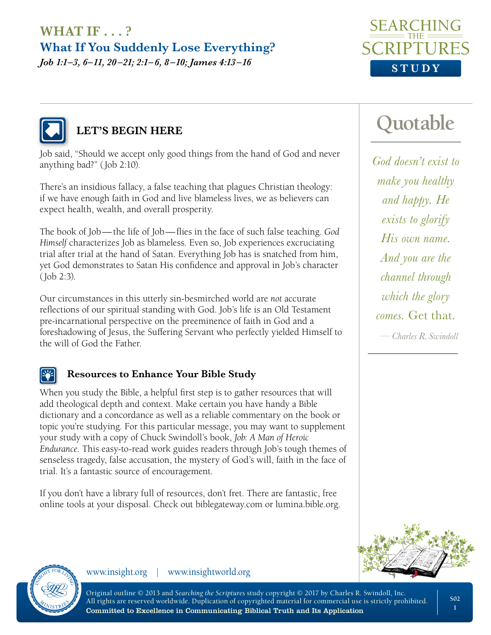### **WHAT IF . . . ?**

#### **What If You Suddenly Lose Everything?**

*Job 1:1–3, 6–11, 20–21; 2:1–6, 8–10; James 4:13 –16*





### **LET'S BEGIN HERE**

Job said, "Should we accept only good things from the hand of God and never anything bad?" (Job 2:10).

There's an insidious fallacy, a false teaching that plagues Christian theology: if we have enough faith in God and live blameless lives, we as believers can expect health, wealth, and overall prosperity.

The book of Job—the life of Job—flies in the face of such false teaching. *God Himself* characterizes Job as blameless. Even so, Job experiences excruciating trial after trial at the hand of Satan. Everything Job has is snatched from him, yet God demonstrates to Satan His confidence and approval in Job's character (Job 2:3).

Our circumstances in this utterly sin-besmirched world are *not* accurate reflections of our spiritual standing with God. Job's life is an Old Testament pre-incarnational perspective on the preeminence of faith in God and a foreshadowing of Jesus, the Suffering Servant who perfectly yielded Himself to the will of God the Father.

#### **Resources to Enhance Your Bible Study**

When you study the Bible, a helpful first step is to gather resources that will add theological depth and context. Make certain you have handy a Bible dictionary and a concordance as well as a reliable commentary on the book or topic you're studying. For this particular message, you may want to supplement your study with a copy of Chuck Swindoll's book, *Job: A Man of Heroic Endurance*. This easy-to-read work guides readers through Job's tough themes of senseless tragedy, false accusation, the mystery of God's will, faith in the face of trial. It's a fantastic source of encouragement.

If you don't have a library full of resources, don't fret. There are fantastic, free online tools at your disposal. Check out biblegateway.com or lumina.bible.org.

# **Quotable**

*God doesn't exist to make you healthy and happy. He exists to glorify His own name. And you are the channel through which the glory comes.* Get that*.* 

*—Charles R. Swindoll*





www.insight.org | www.insightworld.org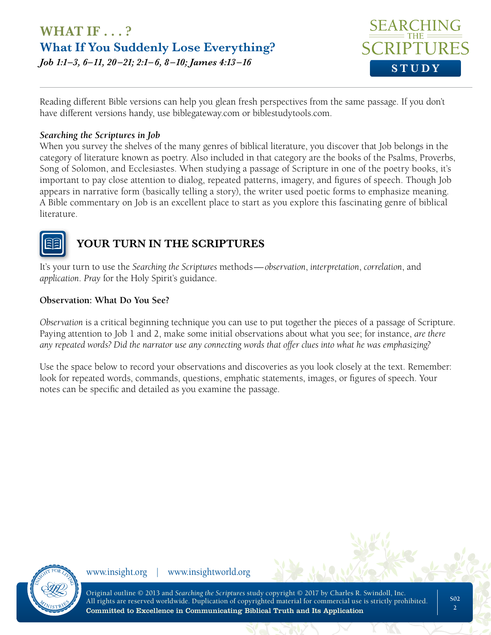

Reading different Bible versions can help you glean fresh perspectives from the same passage. If you don't have different versions handy, use biblegateway.com or biblestudytools.com.

#### *Searching the Scriptures in Job*

When you survey the shelves of the many genres of biblical literature, you discover that Job belongs in the category of literature known as poetry. Also included in that category are the books of the Psalms, Proverbs, Song of Solomon, and Ecclesiastes. When studying a passage of Scripture in one of the poetry books, it's important to pay close attention to dialog, repeated patterns, imagery, and figures of speech. Though Job appears in narrative form (basically telling a story), the writer used poetic forms to emphasize meaning. A Bible commentary on Job is an excellent place to start as you explore this fascinating genre of biblical literature.



#### **YOUR TURN IN THE SCRIPTURES**

It's your turn to use the *Searching the Scriptures* methods—*observation*, *interpretation*, *correlation*, and *application*. *Pray* for the Holy Spirit's guidance.

#### **Observation: What Do You See?**

*Observation* is a critical beginning technique you can use to put together the pieces of a passage of Scripture. Paying attention to Job 1 and 2, make some initial observations about what you see; for instance, *are there any repeated words? Did the narrator use any connecting words that offer clues into what he was emphasizing?*

Use the space below to record your observations and discoveries as you look closely at the text. Remember: look for repeated words, commands, questions, emphatic statements, images, or figures of speech. Your notes can be specific and detailed as you examine the passage.



www.insight.org | www.insightworld.org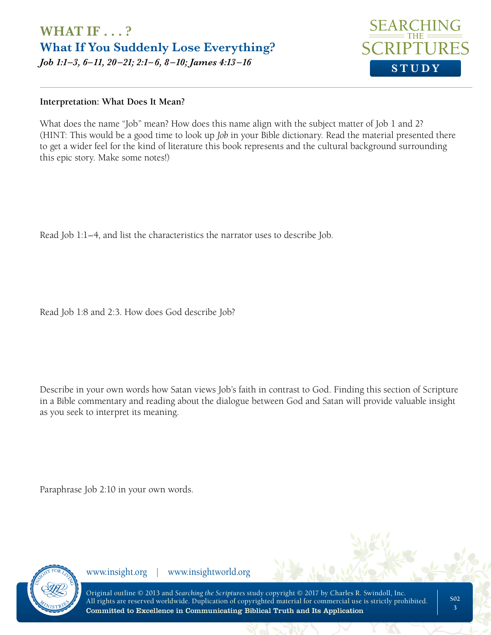

#### **Interpretation: What Does It Mean?**

What does the name "Job" mean? How does this name align with the subject matter of Job 1 and 2? (HINT: This would be a good time to look up *Job* in your Bible dictionary. Read the material presented there to get a wider feel for the kind of literature this book represents and the cultural background surrounding this epic story. Make some notes!)

Read Job 1:1–4, and list the characteristics the narrator uses to describe Job.

Read Job 1:8 and 2:3. How does God describe Job?

Describe in your own words how Satan views Job's faith in contrast to God. Finding this section of Scripture in a Bible commentary and reading about the dialogue between God and Satan will provide valuable insight as you seek to interpret its meaning.

Paraphrase Job 2:10 in your own words.



www.insight.org | www.insightworld.org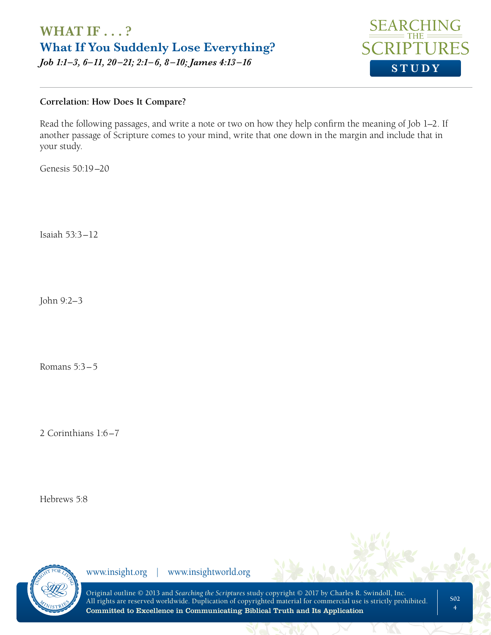

#### **Correlation: How Does It Compare?**

Read the following passages, and write a note or two on how they help confirm the meaning of Job 1–2. If another passage of Scripture comes to your mind, write that one down in the margin and include that in your study.

Genesis 50:19–20

Isaiah 53:3–12

John 9:2–3

Romans 5:3–5

2 Corinthians 1:6–7

Hebrews 5:8



www.insight.org | www.insightworld.org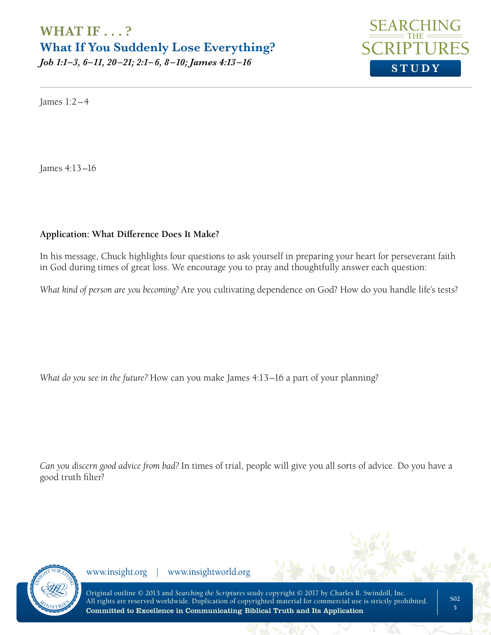

James 1:2–4

James 4:13–16

#### **Application: What Difference Does It Make?**

In his message, Chuck highlights four questions to ask yourself in preparing your heart for perseverant faith in God during times of great loss. We encourage you to pray and thoughtfully answer each question:

*What kind of person are you becoming?* Are you cultivating dependence on God? How do you handle life's tests?

*What do you see in the future?* How can you make James 4:13–16 a part of your planning?

*Can you discern good advice from bad?* In times of trial, people will give you all sorts of advice. Do you have a good truth filter?



www.insight.org | www.insightworld.org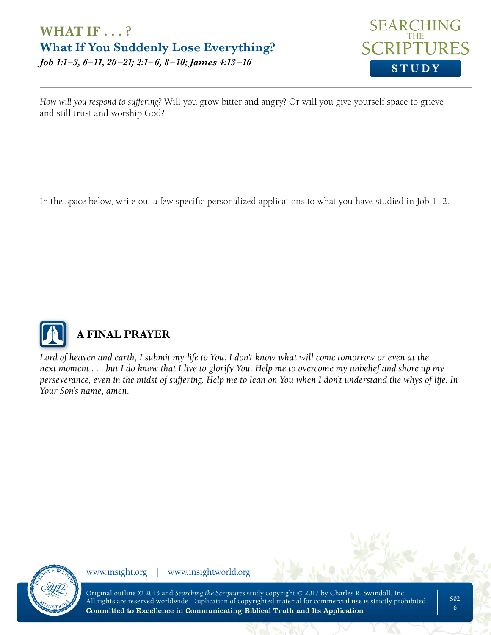

*How will you respond to suffering?* Will you grow bitter and angry? Or will you give yourself space to grieve and still trust and worship God?

In the space below, write out a few specific personalized applications to what you have studied in Job 1–2.



## **A FINAL PRAYER**

*Lord of heaven and earth, I submit my life to You. I don't know what will come tomorrow or even at the next moment . . . but I do know that I live to glorify You. Help me to overcome my unbelief and shore up my perseverance, even in the midst of suffering. Help me to lean on You when I don't understand the whys of life. In Your Son's name, amen.*



www.insight.org | www.insightworld.org